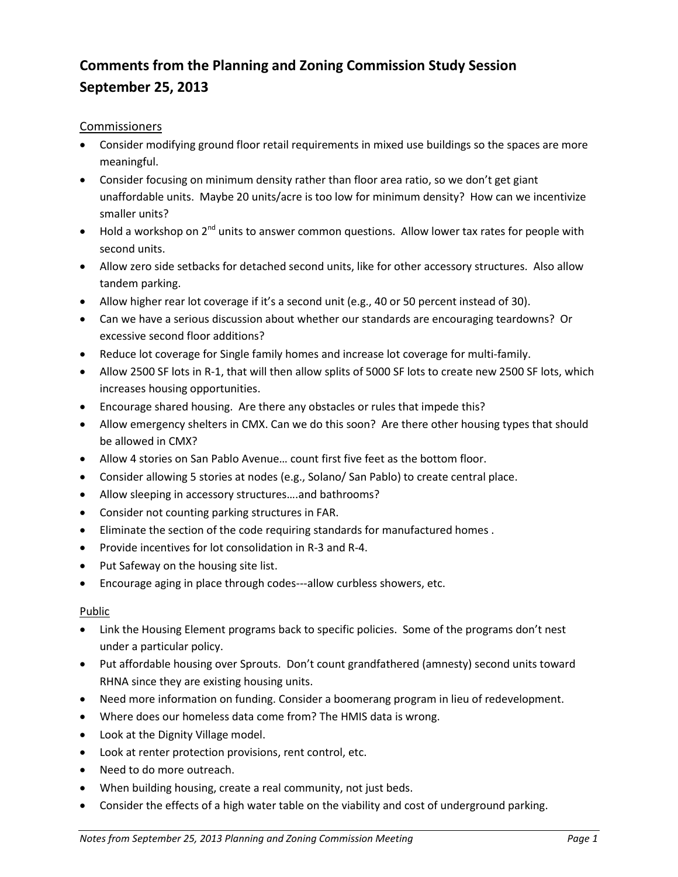## **Comments from the Planning and Zoning Commission Study Session September 25, 2013**

### Commissioners

- Consider modifying ground floor retail requirements in mixed use buildings so the spaces are more meaningful.
- Consider focusing on minimum density rather than floor area ratio, so we don't get giant unaffordable units. Maybe 20 units/acre is too low for minimum density? How can we incentivize smaller units?
- $\bullet$  Hold a workshop on 2<sup>nd</sup> units to answer common questions. Allow lower tax rates for people with second units.
- Allow zero side setbacks for detached second units, like for other accessory structures. Also allow tandem parking.
- Allow higher rear lot coverage if it's a second unit (e.g., 40 or 50 percent instead of 30).
- Can we have a serious discussion about whether our standards are encouraging teardowns? Or excessive second floor additions?
- Reduce lot coverage for Single family homes and increase lot coverage for multi-family.
- Allow 2500 SF lots in R-1, that will then allow splits of 5000 SF lots to create new 2500 SF lots, which increases housing opportunities.
- Encourage shared housing. Are there any obstacles or rules that impede this?
- Allow emergency shelters in CMX. Can we do this soon? Are there other housing types that should be allowed in CMX?
- Allow 4 stories on San Pablo Avenue… count first five feet as the bottom floor.
- Consider allowing 5 stories at nodes (e.g., Solano/ San Pablo) to create central place.
- Allow sleeping in accessory structures....and bathrooms?
- Consider not counting parking structures in FAR.
- Eliminate the section of the code requiring standards for manufactured homes .
- Provide incentives for lot consolidation in R-3 and R-4.
- Put Safeway on the housing site list.
- Encourage aging in place through codes---allow curbless showers, etc.

### Public

- Link the Housing Element programs back to specific policies. Some of the programs don't nest under a particular policy.
- Put affordable housing over Sprouts. Don't count grandfathered (amnesty) second units toward RHNA since they are existing housing units.
- Need more information on funding. Consider a boomerang program in lieu of redevelopment.
- Where does our homeless data come from? The HMIS data is wrong.
- Look at the Dignity Village model.
- Look at renter protection provisions, rent control, etc.
- Need to do more outreach.
- When building housing, create a real community, not just beds.
- Consider the effects of a high water table on the viability and cost of underground parking.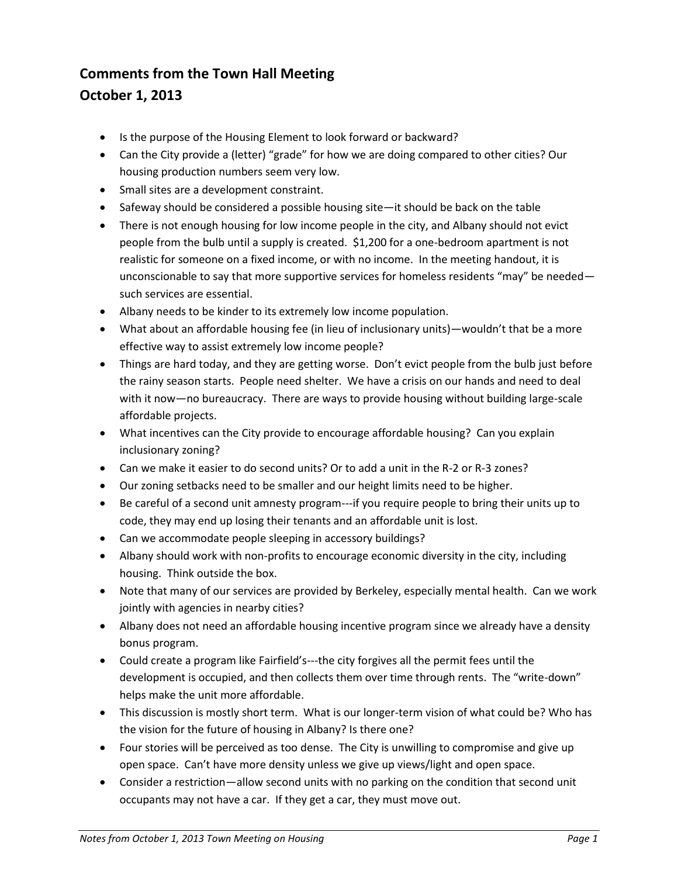# **Comments from the Town Hall Meeting October 1, 2013**

- Is the purpose of the Housing Element to look forward or backward?
- Can the City provide a (letter) "grade" for how we are doing compared to other cities? Our housing production numbers seem very low.
- Small sites are a development constraint.
- Safeway should be considered a possible housing site—it should be back on the table
- There is not enough housing for low income people in the city, and Albany should not evict people from the bulb until a supply is created. \$1,200 for a one-bedroom apartment is not realistic for someone on a fixed income, or with no income. In the meeting handout, it is unconscionable to say that more supportive services for homeless residents "may" be needed such services are essential.
- Albany needs to be kinder to its extremely low income population.
- What about an affordable housing fee (in lieu of inclusionary units)—wouldn't that be a more effective way to assist extremely low income people?
- Things are hard today, and they are getting worse. Don't evict people from the bulb just before the rainy season starts. People need shelter. We have a crisis on our hands and need to deal with it now—no bureaucracy. There are ways to provide housing without building large-scale affordable projects.
- What incentives can the City provide to encourage affordable housing? Can you explain inclusionary zoning?
- Can we make it easier to do second units? Or to add a unit in the R-2 or R-3 zones?
- Our zoning setbacks need to be smaller and our height limits need to be higher.
- Be careful of a second unit amnesty program---if you require people to bring their units up to code, they may end up losing their tenants and an affordable unit is lost.
- Can we accommodate people sleeping in accessory buildings?
- Albany should work with non-profits to encourage economic diversity in the city, including housing. Think outside the box.
- Note that many of our services are provided by Berkeley, especially mental health. Can we work jointly with agencies in nearby cities?
- Albany does not need an affordable housing incentive program since we already have a density bonus program.
- Could create a program like Fairfield's---the city forgives all the permit fees until the development is occupied, and then collects them over time through rents. The "write-down" helps make the unit more affordable.
- This discussion is mostly short term. What is our longer-term vision of what could be? Who has the vision for the future of housing in Albany? Is there one?
- Four stories will be perceived as too dense. The City is unwilling to compromise and give up open space. Can't have more density unless we give up views/light and open space.
- Consider a restriction—allow second units with no parking on the condition that second unit occupants may not have a car. If they get a car, they must move out.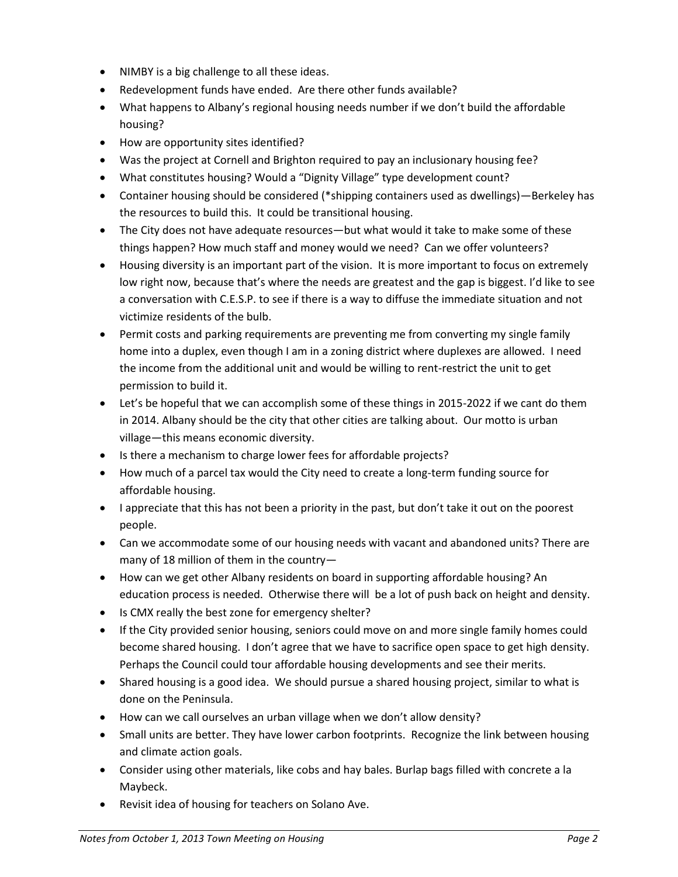- NIMBY is a big challenge to all these ideas.
- Redevelopment funds have ended. Are there other funds available?
- What happens to Albany's regional housing needs number if we don't build the affordable housing?
- How are opportunity sites identified?
- Was the project at Cornell and Brighton required to pay an inclusionary housing fee?
- What constitutes housing? Would a "Dignity Village" type development count?
- Container housing should be considered (\*shipping containers used as dwellings)—Berkeley has the resources to build this. It could be transitional housing.
- The City does not have adequate resources—but what would it take to make some of these things happen? How much staff and money would we need? Can we offer volunteers?
- Housing diversity is an important part of the vision. It is more important to focus on extremely low right now, because that's where the needs are greatest and the gap is biggest. I'd like to see a conversation with C.E.S.P. to see if there is a way to diffuse the immediate situation and not victimize residents of the bulb.
- Permit costs and parking requirements are preventing me from converting my single family home into a duplex, even though I am in a zoning district where duplexes are allowed. I need the income from the additional unit and would be willing to rent-restrict the unit to get permission to build it.
- Let's be hopeful that we can accomplish some of these things in 2015-2022 if we cant do them in 2014. Albany should be the city that other cities are talking about. Our motto is urban village—this means economic diversity.
- Is there a mechanism to charge lower fees for affordable projects?
- How much of a parcel tax would the City need to create a long-term funding source for affordable housing.
- I appreciate that this has not been a priority in the past, but don't take it out on the poorest people.
- Can we accommodate some of our housing needs with vacant and abandoned units? There are many of 18 million of them in the country—
- How can we get other Albany residents on board in supporting affordable housing? An education process is needed. Otherwise there will be a lot of push back on height and density.
- Is CMX really the best zone for emergency shelter?
- If the City provided senior housing, seniors could move on and more single family homes could become shared housing. I don't agree that we have to sacrifice open space to get high density. Perhaps the Council could tour affordable housing developments and see their merits.
- Shared housing is a good idea. We should pursue a shared housing project, similar to what is done on the Peninsula.
- How can we call ourselves an urban village when we don't allow density?
- Small units are better. They have lower carbon footprints. Recognize the link between housing and climate action goals.
- Consider using other materials, like cobs and hay bales. Burlap bags filled with concrete a la Maybeck.
- Revisit idea of housing for teachers on Solano Ave.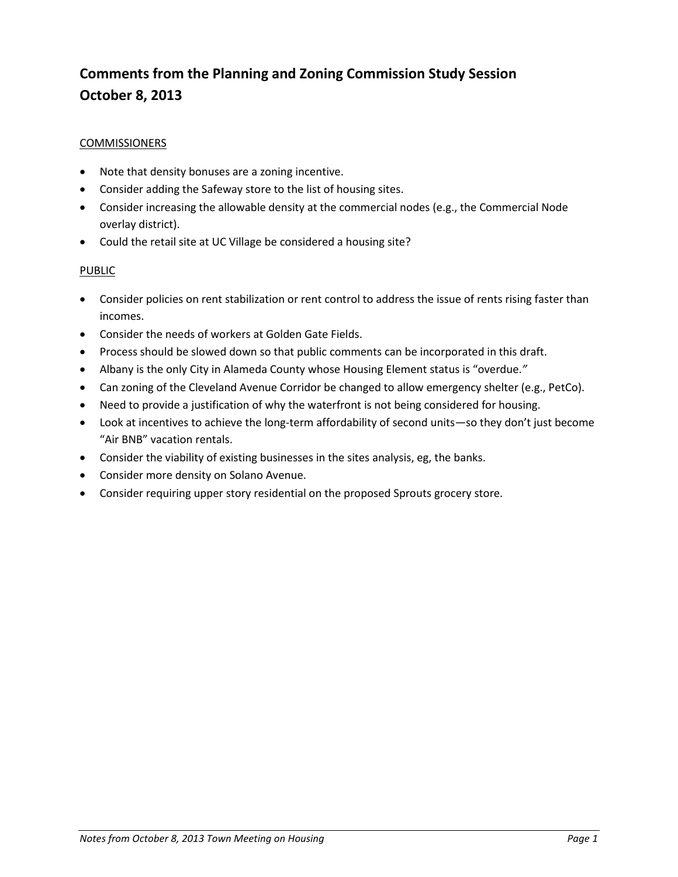# **Comments from the Planning and Zoning Commission Study Session October 8, 2013**

### **COMMISSIONERS**

- Note that density bonuses are a zoning incentive.
- Consider adding the Safeway store to the list of housing sites.
- Consider increasing the allowable density at the commercial nodes (e.g., the Commercial Node overlay district).
- Could the retail site at UC Village be considered a housing site?

#### PUBLIC

- Consider policies on rent stabilization or rent control to address the issue of rents rising faster than incomes.
- Consider the needs of workers at Golden Gate Fields.
- Process should be slowed down so that public comments can be incorporated in this draft.
- Albany is the only City in Alameda County whose Housing Element status is "overdue.*"*
- Can zoning of the Cleveland Avenue Corridor be changed to allow emergency shelter (e.g., PetCo).
- Need to provide a justification of why the waterfront is not being considered for housing.
- Look at incentives to achieve the long-term affordability of second units—so they don't just become "Air BNB" vacation rentals.
- Consider the viability of existing businesses in the sites analysis, eg, the banks.
- Consider more density on Solano Avenue.
- Consider requiring upper story residential on the proposed Sprouts grocery store.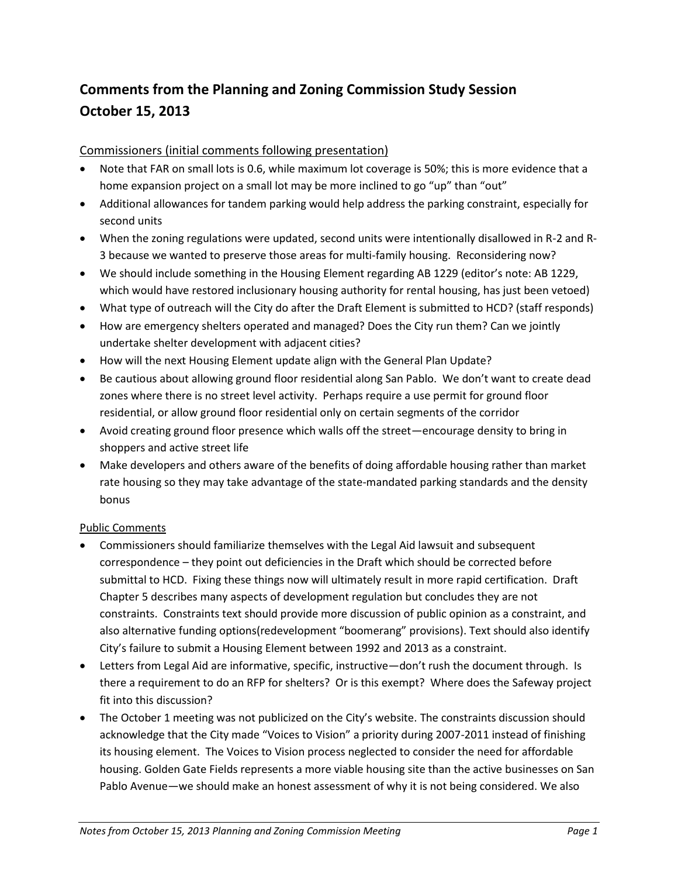# **Comments from the Planning and Zoning Commission Study Session October 15, 2013**

## Commissioners (initial comments following presentation)

- Note that FAR on small lots is 0.6, while maximum lot coverage is 50%; this is more evidence that a home expansion project on a small lot may be more inclined to go "up" than "out"
- Additional allowances for tandem parking would help address the parking constraint, especially for second units
- When the zoning regulations were updated, second units were intentionally disallowed in R-2 and R-3 because we wanted to preserve those areas for multi-family housing. Reconsidering now?
- We should include something in the Housing Element regarding AB 1229 (editor's note: AB 1229, which would have restored inclusionary housing authority for rental housing, has just been vetoed)
- What type of outreach will the City do after the Draft Element is submitted to HCD? (staff responds)
- How are emergency shelters operated and managed? Does the City run them? Can we jointly undertake shelter development with adjacent cities?
- How will the next Housing Element update align with the General Plan Update?
- Be cautious about allowing ground floor residential along San Pablo. We don't want to create dead zones where there is no street level activity. Perhaps require a use permit for ground floor residential, or allow ground floor residential only on certain segments of the corridor
- Avoid creating ground floor presence which walls off the street—encourage density to bring in shoppers and active street life
- Make developers and others aware of the benefits of doing affordable housing rather than market rate housing so they may take advantage of the state-mandated parking standards and the density bonus

### Public Comments

- Commissioners should familiarize themselves with the Legal Aid lawsuit and subsequent correspondence – they point out deficiencies in the Draft which should be corrected before submittal to HCD. Fixing these things now will ultimately result in more rapid certification. Draft Chapter 5 describes many aspects of development regulation but concludes they are not constraints. Constraints text should provide more discussion of public opinion as a constraint, and also alternative funding options(redevelopment "boomerang" provisions). Text should also identify City's failure to submit a Housing Element between 1992 and 2013 as a constraint.
- Letters from Legal Aid are informative, specific, instructive—don't rush the document through. Is there a requirement to do an RFP for shelters? Or is this exempt? Where does the Safeway project fit into this discussion?
- The October 1 meeting was not publicized on the City's website. The constraints discussion should acknowledge that the City made "Voices to Vision" a priority during 2007-2011 instead of finishing its housing element. The Voices to Vision process neglected to consider the need for affordable housing. Golden Gate Fields represents a more viable housing site than the active businesses on San Pablo Avenue—we should make an honest assessment of why it is not being considered. We also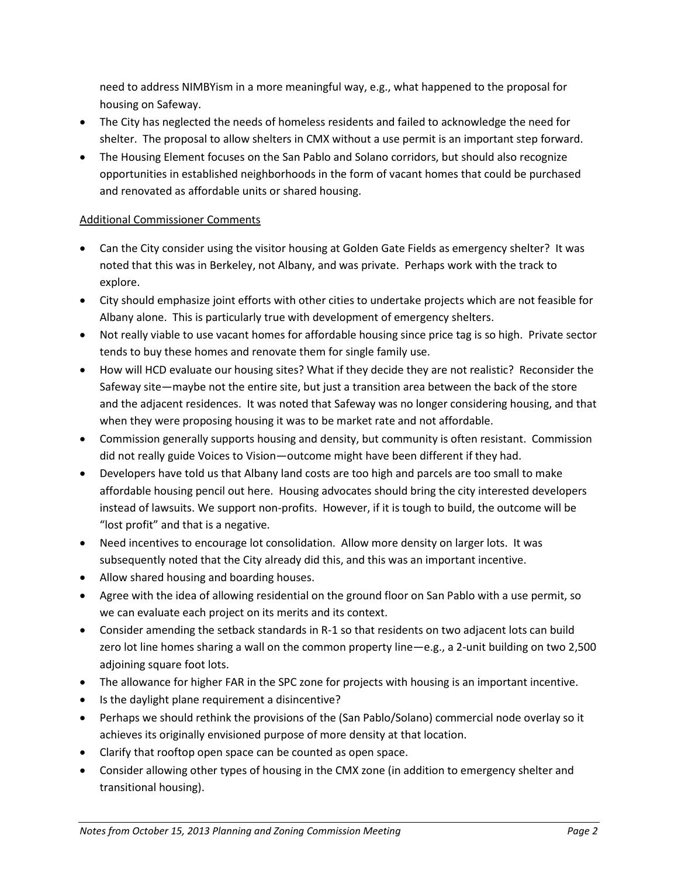need to address NIMBYism in a more meaningful way, e.g., what happened to the proposal for housing on Safeway.

- The City has neglected the needs of homeless residents and failed to acknowledge the need for shelter. The proposal to allow shelters in CMX without a use permit is an important step forward.
- The Housing Element focuses on the San Pablo and Solano corridors, but should also recognize opportunities in established neighborhoods in the form of vacant homes that could be purchased and renovated as affordable units or shared housing.

## Additional Commissioner Comments

- Can the City consider using the visitor housing at Golden Gate Fields as emergency shelter? It was noted that this was in Berkeley, not Albany, and was private. Perhaps work with the track to explore.
- City should emphasize joint efforts with other cities to undertake projects which are not feasible for Albany alone. This is particularly true with development of emergency shelters.
- Not really viable to use vacant homes for affordable housing since price tag is so high. Private sector tends to buy these homes and renovate them for single family use.
- How will HCD evaluate our housing sites? What if they decide they are not realistic? Reconsider the Safeway site—maybe not the entire site, but just a transition area between the back of the store and the adjacent residences. It was noted that Safeway was no longer considering housing, and that when they were proposing housing it was to be market rate and not affordable.
- Commission generally supports housing and density, but community is often resistant. Commission did not really guide Voices to Vision—outcome might have been different if they had.
- Developers have told us that Albany land costs are too high and parcels are too small to make affordable housing pencil out here. Housing advocates should bring the city interested developers instead of lawsuits. We support non-profits. However, if it is tough to build, the outcome will be "lost profit" and that is a negative.
- Need incentives to encourage lot consolidation. Allow more density on larger lots. It was subsequently noted that the City already did this, and this was an important incentive.
- Allow shared housing and boarding houses.
- Agree with the idea of allowing residential on the ground floor on San Pablo with a use permit, so we can evaluate each project on its merits and its context.
- Consider amending the setback standards in R-1 so that residents on two adjacent lots can build zero lot line homes sharing a wall on the common property line—e.g., a 2-unit building on two 2,500 adjoining square foot lots.
- The allowance for higher FAR in the SPC zone for projects with housing is an important incentive.
- Is the daylight plane requirement a disincentive?
- Perhaps we should rethink the provisions of the (San Pablo/Solano) commercial node overlay so it achieves its originally envisioned purpose of more density at that location.
- Clarify that rooftop open space can be counted as open space.
- Consider allowing other types of housing in the CMX zone (in addition to emergency shelter and transitional housing).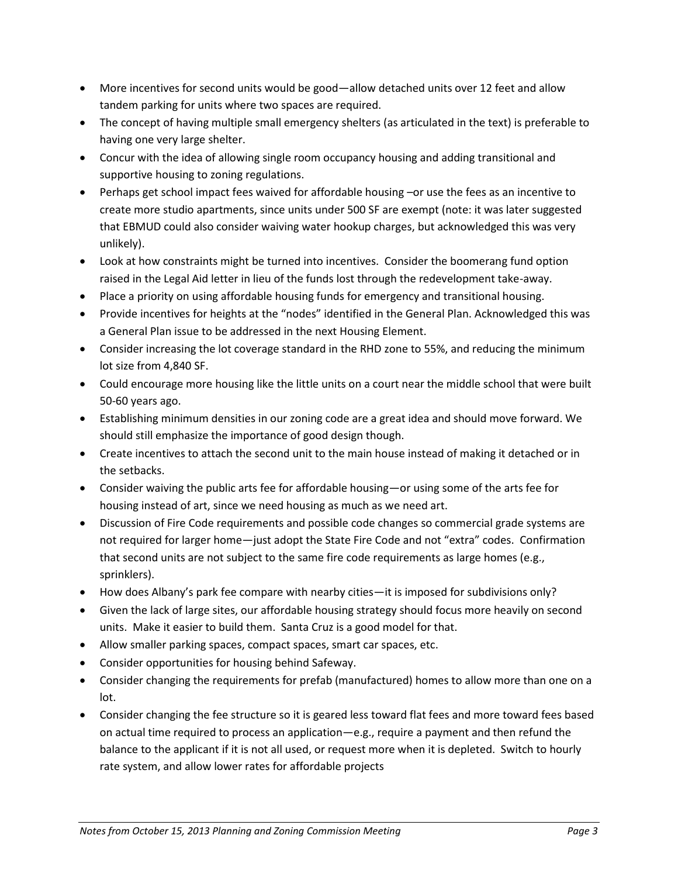- More incentives for second units would be good—allow detached units over 12 feet and allow tandem parking for units where two spaces are required.
- The concept of having multiple small emergency shelters (as articulated in the text) is preferable to having one very large shelter.
- Concur with the idea of allowing single room occupancy housing and adding transitional and supportive housing to zoning regulations.
- Perhaps get school impact fees waived for affordable housing –or use the fees as an incentive to create more studio apartments, since units under 500 SF are exempt (note: it was later suggested that EBMUD could also consider waiving water hookup charges, but acknowledged this was very unlikely).
- Look at how constraints might be turned into incentives. Consider the boomerang fund option raised in the Legal Aid letter in lieu of the funds lost through the redevelopment take-away.
- Place a priority on using affordable housing funds for emergency and transitional housing.
- Provide incentives for heights at the "nodes" identified in the General Plan. Acknowledged this was a General Plan issue to be addressed in the next Housing Element.
- Consider increasing the lot coverage standard in the RHD zone to 55%, and reducing the minimum lot size from 4,840 SF.
- Could encourage more housing like the little units on a court near the middle school that were built 50-60 years ago.
- Establishing minimum densities in our zoning code are a great idea and should move forward. We should still emphasize the importance of good design though.
- Create incentives to attach the second unit to the main house instead of making it detached or in the setbacks.
- Consider waiving the public arts fee for affordable housing—or using some of the arts fee for housing instead of art, since we need housing as much as we need art.
- Discussion of Fire Code requirements and possible code changes so commercial grade systems are not required for larger home—just adopt the State Fire Code and not "extra" codes. Confirmation that second units are not subject to the same fire code requirements as large homes (e.g., sprinklers).
- How does Albany's park fee compare with nearby cities—it is imposed for subdivisions only?
- Given the lack of large sites, our affordable housing strategy should focus more heavily on second units. Make it easier to build them. Santa Cruz is a good model for that.
- Allow smaller parking spaces, compact spaces, smart car spaces, etc.
- Consider opportunities for housing behind Safeway.
- Consider changing the requirements for prefab (manufactured) homes to allow more than one on a lot.
- Consider changing the fee structure so it is geared less toward flat fees and more toward fees based on actual time required to process an application—e.g., require a payment and then refund the balance to the applicant if it is not all used, or request more when it is depleted. Switch to hourly rate system, and allow lower rates for affordable projects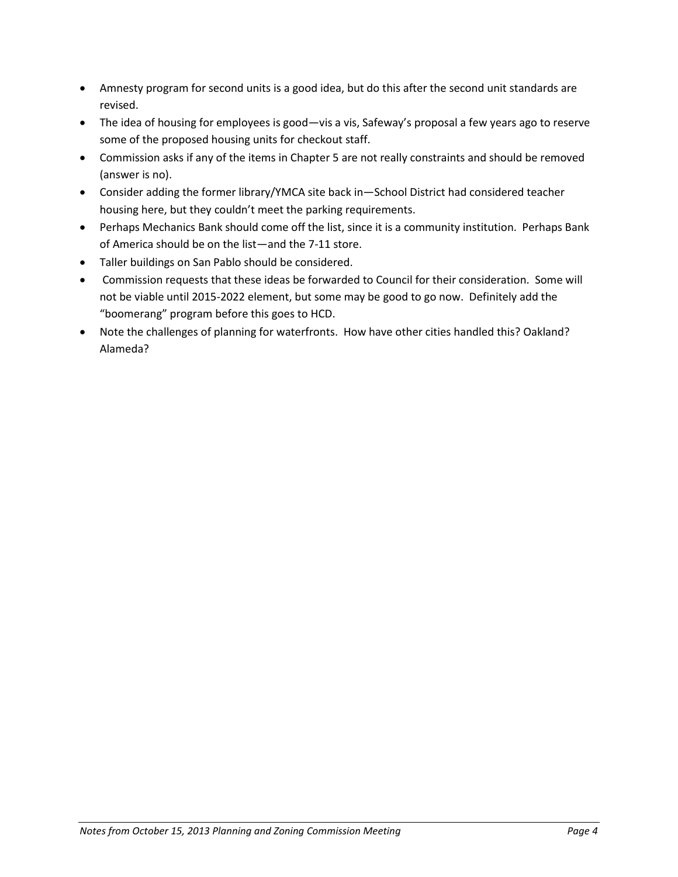- Amnesty program for second units is a good idea, but do this after the second unit standards are revised.
- The idea of housing for employees is good—vis a vis, Safeway's proposal a few years ago to reserve some of the proposed housing units for checkout staff.
- Commission asks if any of the items in Chapter 5 are not really constraints and should be removed (answer is no).
- Consider adding the former library/YMCA site back in—School District had considered teacher housing here, but they couldn't meet the parking requirements.
- Perhaps Mechanics Bank should come off the list, since it is a community institution. Perhaps Bank of America should be on the list—and the 7-11 store.
- Taller buildings on San Pablo should be considered.
- Commission requests that these ideas be forwarded to Council for their consideration. Some will not be viable until 2015-2022 element, but some may be good to go now. Definitely add the "boomerang" program before this goes to HCD.
- Note the challenges of planning for waterfronts. How have other cities handled this? Oakland? Alameda?